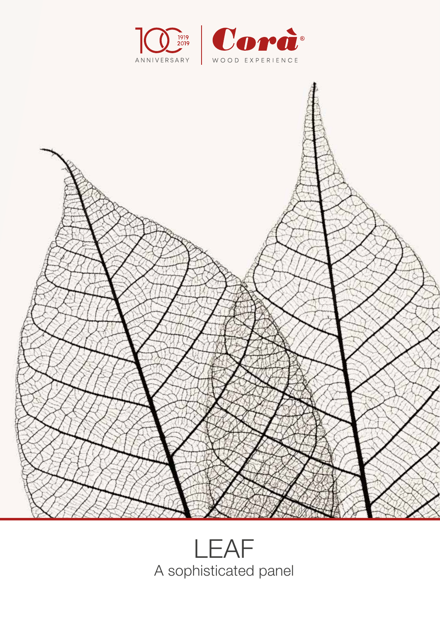



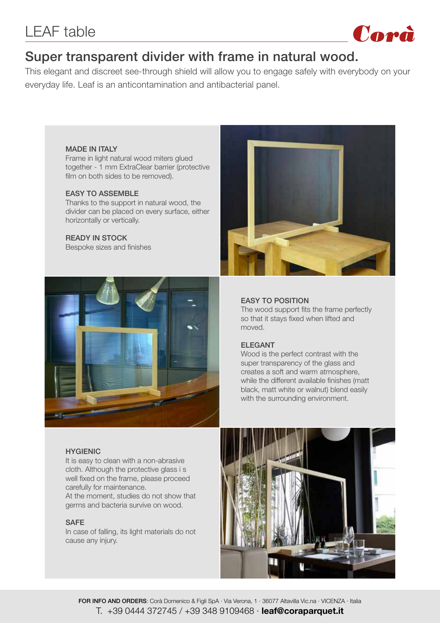

## Super transparent divider with frame in natural wood.

This elegant and discreet see-through shield will allow you to engage safely with everybody on your everyday life. Leaf is an anticontamination and antibacterial panel.

#### MADE IN ITALY

Frame in light natural wood miters glued together - 1 mm ExtraClear barrier (protective film on both sides to be removed).

#### EASY TO ASSEMBLE

Thanks to the support in natural wood, the divider can be placed on every surface, either horizontally or vertically.

#### READY IN STOCK

Bespoke sizes and finishes





#### EASY TO POSITION

The wood support fits the frame perfectly so that it stays fixed when lifted and moved.

#### ELEGANT

Wood is the perfect contrast with the super transparency of the glass and creates a soft and warm atmosphere, while the different available finishes (matt black, matt white or walnut) blend easily with the surrounding environment.

#### **HYGIENIC**

It is easy to clean with a non-abrasive cloth. Although the protective glass i s well fixed on the frame, please proceed carefully for maintenance. At the moment, studies do not show that

germs and bacteria survive on wood.

#### SAFE

In case of falling, its light materials do not cause any injury.

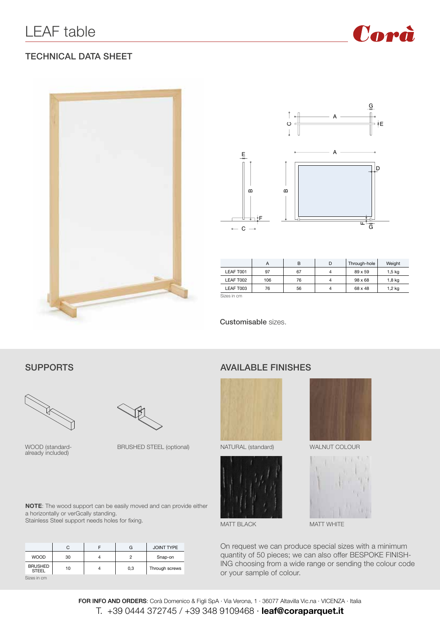

#### TECHNICAL DATA SHEET





|             | A   | B  | D | Through-hole   | Weight   |
|-------------|-----|----|---|----------------|----------|
| LEAF T001   | 97  | 67 | 4 | 89 x 59        | $1,5$ kg |
| LEAF T002   | 106 | 76 | 4 | $98 \times 68$ | 1,8 kg   |
| LEAF T003   | 76  | 56 | 4 | 68 x 48        | 1,2 kg   |
| Sizes in cm |     |    |   |                |          |

Customisable sizes.



WOOD (standardalready included)

BRUSHED STEEL (optional)

#### SUPPORTS AVAILABLE FINISHES







MATT BLACK MATT WHITE

On request we can produce special sizes with a minimum quantity of 50 pieces; we can also offer BESPOKE FINISH-ING choosing from a wide range or sending the colour code or your sample of colour.

**NOTE**: The wood support can be easily moved and can provide either a horizontally or verGcally standing. Stainless Steel support needs holes for fixing.

|                                | C  | G   | <b>JOINT TYPE</b> |
|--------------------------------|----|-----|-------------------|
| <b>WOOD</b>                    | 30 | 2   | Snap-on           |
| <b>BRUSHED</b><br><b>STEEL</b> | 10 | 0,3 | Through screws    |
| Sizes in cm                    |    |     |                   |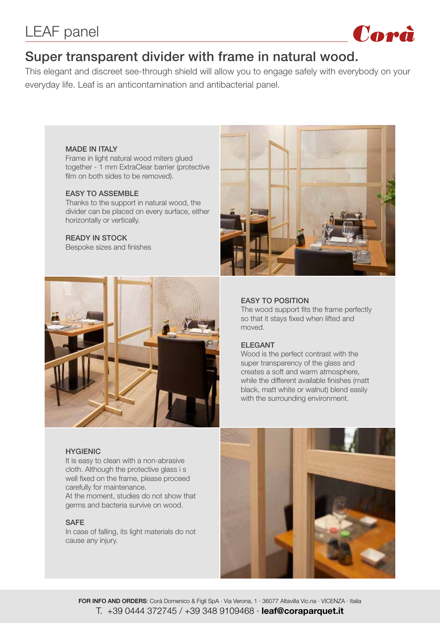

## Super transparent divider with frame in natural wood.

This elegant and discreet see-through shield will allow you to engage safely with everybody on your everyday life. Leaf is an anticontamination and antibacterial panel.

#### MADE IN ITALY

Frame in light natural wood miters glued together - 1 mm ExtraClear barrier (protective film on both sides to be removed).

#### **FASY TO ASSEMBLE**

Thanks to the support in natural wood, the divider can be placed on every surface, either horizontally or vertically.

#### READY IN STOCK

Bespoke sizes and finishes





#### EASY TO POSITION

The wood support fits the frame perfectly so that it stays fixed when lifted and moved.

#### ELEGANT

Wood is the perfect contrast with the super transparency of the glass and creates a soft and warm atmosphere, while the different available finishes (matt black, matt white or walnut) blend easily with the surrounding environment.

#### **HYGIENIC**

It is easy to clean with a non-abrasive cloth. Although the protective glass i s well fixed on the frame, please proceed carefully for maintenance. At the moment, studies do not show that germs and bacteria survive on wood.

#### SAFE

In case of falling, its light materials do not cause any injury.

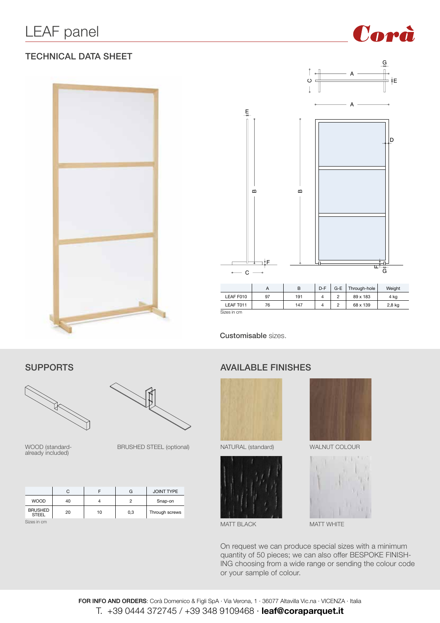#### TECHNICAL DATA SHEET





Corà

Customisable sizes.





WOOD (standard-<br>already included)

BRUSHED STEEL (optional)

|                                | C  |    | G   | <b>JOINT TYPE</b> |
|--------------------------------|----|----|-----|-------------------|
| <b>WOOD</b>                    | 40 |    | 2   | Snap-on           |
| <b>BRUSHED</b><br><b>STEEL</b> | 20 | 10 | 0,3 | Through screws    |
| Sizes in cm                    |    |    |     |                   |

#### SUPPORTS AVAILABLE FINISHES





MATT BLACK MATT WHITE





On request we can produce special sizes with a minimum quantity of 50 pieces; we can also offer BESPOKE FINISH-ING choosing from a wide range or sending the colour code or your sample of colour.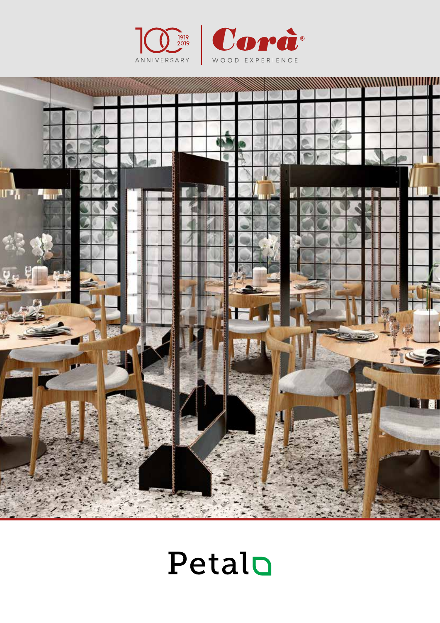





# Petalo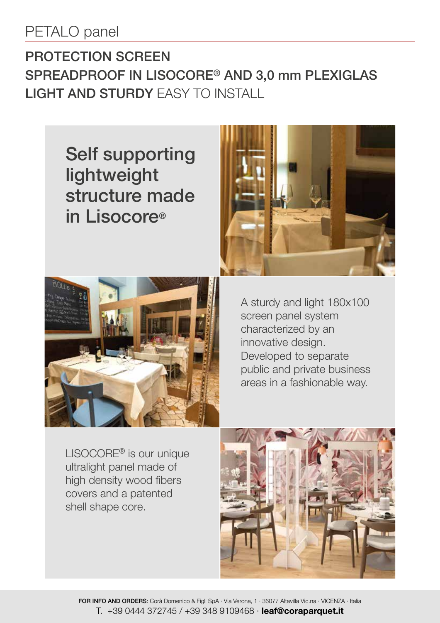## PETALO panel

## PROTECTION SCREEN SPREADPROOF IN LISOCORE® AND 3,0 mm PLEXIGLAS LIGHT AND STURDY EASY TO INSTALL

Self supporting lightweight structure made in Lisocore®





A sturdy and light 180x100 screen panel system characterized by an innovative design. Developed to separate public and private business areas in a fashionable way.

LISOCORE® is our unique ultralight panel made of high density wood fibers covers and a patented shell shape core.